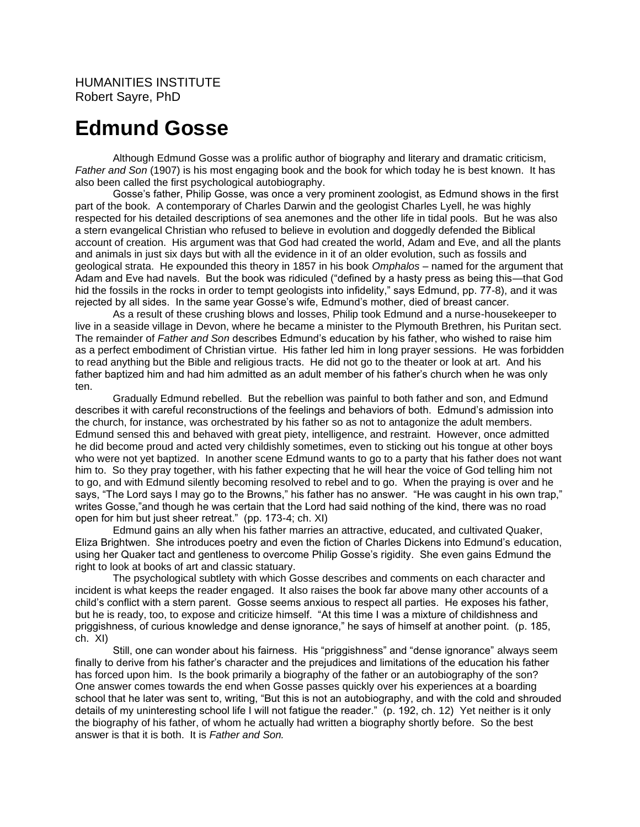## **Edmund Gosse**

Although Edmund Gosse was a prolific author of biography and literary and dramatic criticism, *Father and Son* (1907) is his most engaging book and the book for which today he is best known. It has also been called the first psychological autobiography.

Gosse's father, Philip Gosse, was once a very prominent zoologist, as Edmund shows in the first part of the book. A contemporary of Charles Darwin and the geologist Charles Lyell, he was highly respected for his detailed descriptions of sea anemones and the other life in tidal pools. But he was also a stern evangelical Christian who refused to believe in evolution and doggedly defended the Biblical account of creation. His argument was that God had created the world, Adam and Eve, and all the plants and animals in just six days but with all the evidence in it of an older evolution, such as fossils and geological strata. He expounded this theory in 1857 in his book *Omphalos* – named for the argument that Adam and Eve had navels. But the book was ridiculed ("defined by a hasty press as being this—that God hid the fossils in the rocks in order to tempt geologists into infidelity," says Edmund, pp. 77-8), and it was rejected by all sides. In the same year Gosse's wife, Edmund's mother, died of breast cancer.

As a result of these crushing blows and losses, Philip took Edmund and a nurse-housekeeper to live in a seaside village in Devon, where he became a minister to the Plymouth Brethren, his Puritan sect. The remainder of *Father and Son* describes Edmund's education by his father, who wished to raise him as a perfect embodiment of Christian virtue. His father led him in long prayer sessions. He was forbidden to read anything but the Bible and religious tracts. He did not go to the theater or look at art. And his father baptized him and had him admitted as an adult member of his father's church when he was only ten.

Gradually Edmund rebelled. But the rebellion was painful to both father and son, and Edmund describes it with careful reconstructions of the feelings and behaviors of both. Edmund's admission into the church, for instance, was orchestrated by his father so as not to antagonize the adult members. Edmund sensed this and behaved with great piety, intelligence, and restraint. However, once admitted he did become proud and acted very childishly sometimes, even to sticking out his tongue at other boys who were not yet baptized. In another scene Edmund wants to go to a party that his father does not want him to. So they pray together, with his father expecting that he will hear the voice of God telling him not to go, and with Edmund silently becoming resolved to rebel and to go. When the praying is over and he says, "The Lord says I may go to the Browns," his father has no answer. "He was caught in his own trap," writes Gosse,"and though he was certain that the Lord had said nothing of the kind, there was no road open for him but just sheer retreat." (pp. 173-4; ch. XI)

Edmund gains an ally when his father marries an attractive, educated, and cultivated Quaker, Eliza Brightwen. She introduces poetry and even the fiction of Charles Dickens into Edmund's education, using her Quaker tact and gentleness to overcome Philip Gosse's rigidity. She even gains Edmund the right to look at books of art and classic statuary.

The psychological subtlety with which Gosse describes and comments on each character and incident is what keeps the reader engaged. It also raises the book far above many other accounts of a child's conflict with a stern parent. Gosse seems anxious to respect all parties. He exposes his father, but he is ready, too, to expose and criticize himself. "At this time I was a mixture of childishness and priggishness, of curious knowledge and dense ignorance," he says of himself at another point. (p. 185, ch. XI)

Still, one can wonder about his fairness. His "priggishness" and "dense ignorance" always seem finally to derive from his father's character and the prejudices and limitations of the education his father has forced upon him. Is the book primarily a biography of the father or an autobiography of the son? One answer comes towards the end when Gosse passes quickly over his experiences at a boarding school that he later was sent to, writing, "But this is not an autobiography, and with the cold and shrouded details of my uninteresting school life I will not fatigue the reader." (p. 192, ch. 12) Yet neither is it only the biography of his father, of whom he actually had written a biography shortly before. So the best answer is that it is both. It is *Father and Son.*